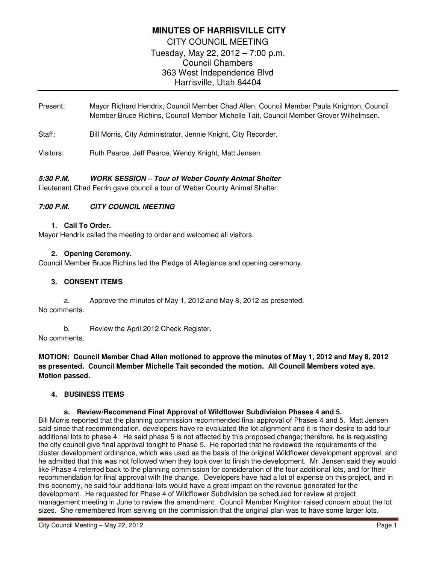# **MINUTES OF HARRISVILLE CITY**  CITY COUNCIL MEETING Tuesday, May 22, 2012 – 7:00 p.m. Council Chambers 363 West Independence Blvd Harrisville, Utah 84404

Present: Mayor Richard Hendrix, Council Member Chad Allen, Council Member Paula Knighton, Council Member Bruce Richins, Council Member Michelle Tait, Council Member Grover Wilhelmsen.

Staff: Bill Morris, City Administrator, Jennie Knight, City Recorder.

Visitors: Ruth Pearce, Jeff Pearce, Wendy Knight, Matt Jensen.

# **5:30 P.M. WORK SESSION – Tour of Weber County Animal Shelter**

Lieutenant Chad Ferrin gave council a tour of Weber County Animal Shelter.

### **7:00 P.M. CITY COUNCIL MEETING**

#### **1. Call To Order.**

Mayor Hendrix called the meeting to order and welcomed all visitors.

### **2. Opening Ceremony.**

Council Member Bruce Richins led the Pledge of Allegiance and opening ceremony.

### **3. CONSENT ITEMS**

a. Approve the minutes of May 1, 2012 and May 8, 2012 as presented. No comments.

b. Review the April 2012 Check Register.

No comments.

**MOTION: Council Member Chad Allen motioned to approve the minutes of May 1, 2012 and May 8, 2012 as presented. Council Member Michelle Tait seconded the motion. All Council Members voted aye. Motion passed.** 

### **4. BUSINESS ITEMS**

#### **a. Review/Recommend Final Approval of Wildflower Subdivision Phases 4 and 5.**

Bill Morris reported that the planning commission recommended final approval of Phases 4 and 5. Matt Jensen said since that recommendation, developers have re-evaluated the lot alignment and it is their desire to add four additional lots to phase 4. He said phase 5 is not affected by this proposed change; therefore, he is requesting the city council give final approval tonight to Phase 5. He reported that he reviewed the requirements of the cluster development ordinance, which was used as the basis of the original Wildflower development approval, and he admitted that this was not followed when they took over to finish the development. Mr. Jensen said they would like Phase 4 referred back to the planning commission for consideration of the four additional lots, and for their recommendation for final approval with the change. Developers have had a lot of expense on this project, and in this economy, he said four additional lots would have a great impact on the revenue generated for the development. He requested for Phase 4 of Wildflower Subdivision be scheduled for review at project management meeting in June to review the amendment. Council Member Knighton raised concern about the lot sizes. She remembered from serving on the commission that the original plan was to have some larger lots.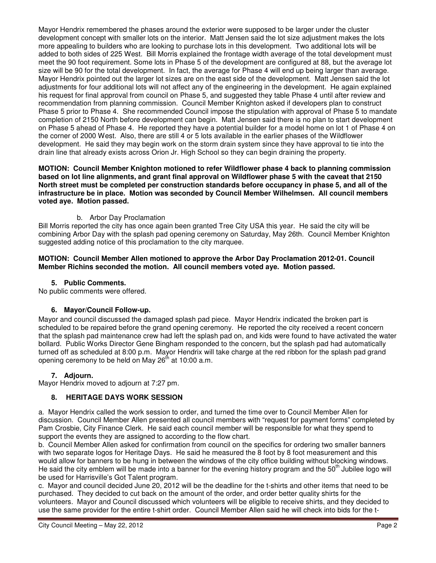Mayor Hendrix remembered the phases around the exterior were supposed to be larger under the cluster development concept with smaller lots on the interior. Matt Jensen said the lot size adjustment makes the lots more appealing to builders who are looking to purchase lots in this development. Two additional lots will be added to both sides of 225 West. Bill Morris explained the frontage width average of the total development must meet the 90 foot requirement. Some lots in Phase 5 of the development are configured at 88, but the average lot size will be 90 for the total development. In fact, the average for Phase 4 will end up being larger than average. Mayor Hendrix pointed out the larger lot sizes are on the east side of the development. Matt Jensen said the lot adjustments for four additional lots will not affect any of the engineering in the development. He again explained his request for final approval from council on Phase 5, and suggested they table Phase 4 until after review and recommendation from planning commission. Council Member Knighton asked if developers plan to construct Phase 5 prior to Phase 4. She recommended Council impose the stipulation with approval of Phase 5 to mandate completion of 2150 North before development can begin. Matt Jensen said there is no plan to start development on Phase 5 ahead of Phase 4. He reported they have a potential builder for a model home on lot 1 of Phase 4 on the corner of 2000 West. Also, there are still 4 or 5 lots available in the earlier phases of the Wildflower development. He said they may begin work on the storm drain system since they have approval to tie into the drain line that already exists across Orion Jr. High School so they can begin draining the property.

**MOTION: Council Member Knighton motioned to refer Wildflower phase 4 back to planning commission based on lot line alignments, and grant final approval on Wildflower phase 5 with the caveat that 2150 North street must be completed per construction standards before occupancy in phase 5, and all of the infrastructure be in place. Motion was seconded by Council Member Wilhelmsen. All council members voted aye. Motion passed.** 

# b. Arbor Day Proclamation

Bill Morris reported the city has once again been granted Tree City USA this year. He said the city will be combining Arbor Day with the splash pad opening ceremony on Saturday, May 26th. Council Member Knighton suggested adding notice of this proclamation to the city marquee.

#### **MOTION: Council Member Allen motioned to approve the Arbor Day Proclamation 2012-01. Council Member Richins seconded the motion. All council members voted aye. Motion passed.**

## **5. Public Comments.**

No public comments were offered.

### **6. Mayor/Council Follow-up.**

Mayor and council discussed the damaged splash pad piece. Mayor Hendrix indicated the broken part is scheduled to be repaired before the grand opening ceremony. He reported the city received a recent concern that the splash pad maintenance crew had left the splash pad on, and kids were found to have activated the water bollard. Public Works Director Gene Bingham responded to the concern, but the splash pad had automatically turned off as scheduled at 8:00 p.m. Mayor Hendrix will take charge at the red ribbon for the splash pad grand opening ceremony to be held on May  $26<sup>th</sup>$  at 10:00 a.m.

### **7. Adjourn.**

Mayor Hendrix moved to adjourn at 7:27 pm.

### **8. HERITAGE DAYS WORK SESSION**

a. Mayor Hendrix called the work session to order, and turned the time over to Council Member Allen for discussion. Council Member Allen presented all council members with "request for payment forms" completed by Pam Crosbie, City Finance Clerk. He said each council member will be responsible for what they spend to support the events they are assigned to according to the flow chart.

b. Council Member Allen asked for confirmation from council on the specifics for ordering two smaller banners with two separate logos for Heritage Days. He said he measured the 8 foot by 8 foot measurement and this would allow for banners to be hung in between the windows of the city office building without blocking windows. He said the city emblem will be made into a banner for the evening history program and the 50<sup>th</sup> Jubilee logo will be used for Harrisville's Got Talent program.

c. Mayor and council decided June 20, 2012 will be the deadline for the t-shirts and other items that need to be purchased. They decided to cut back on the amount of the order, and order better quality shirts for the volunteers. Mayor and Council discussed which volunteers will be eligible to receive shirts, and they decided to use the same provider for the entire t-shirt order. Council Member Allen said he will check into bids for the t